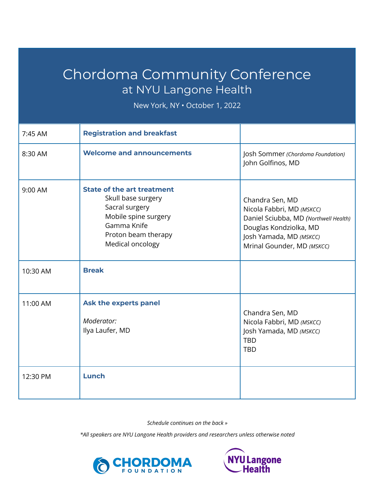## Chordoma Community Conference at NYU Langone Health

New York, NY • October 1, 2022

| 7:45 AM  | <b>Registration and breakfast</b>                                                                                                                           |                                                                                                                                                                          |
|----------|-------------------------------------------------------------------------------------------------------------------------------------------------------------|--------------------------------------------------------------------------------------------------------------------------------------------------------------------------|
| 8:30 AM  | <b>Welcome and announcements</b>                                                                                                                            | Josh Sommer (Chordoma Foundation)<br>John Golfinos, MD                                                                                                                   |
| 9:00 AM  | <b>State of the art treatment</b><br>Skull base surgery<br>Sacral surgery<br>Mobile spine surgery<br>Gamma Knife<br>Proton beam therapy<br>Medical oncology | Chandra Sen, MD<br>Nicola Fabbri, MD (MSKCC)<br>Daniel Sciubba, MD (Northwell Health)<br>Douglas Kondziolka, MD<br>Josh Yamada, MD (MSKCC)<br>Mrinal Gounder, MD (MSKCC) |
| 10:30 AM | <b>Break</b>                                                                                                                                                |                                                                                                                                                                          |
| 11:00 AM | Ask the experts panel<br>Moderator:<br>Ilya Laufer, MD                                                                                                      | Chandra Sen, MD<br>Nicola Fabbri, MD (MSKCC)<br>Josh Yamada, MD (MSKCC)<br><b>TBD</b><br><b>TBD</b>                                                                      |
| 12:30 PM | Lunch                                                                                                                                                       |                                                                                                                                                                          |

*Schedule continues on the back »*

*\*All speakers are NYU Langone Health providers and researchers unless otherwise noted*